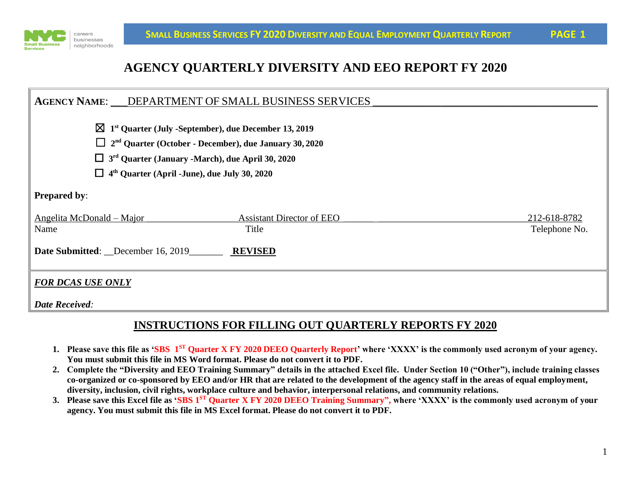

# **AGENCY QUARTERLY DIVERSITY AND EEO REPORT FY 2020**

|                                                                                                                                                                                                                                  | AGENCY NAME: ___ DEPARTMENT OF SMALL BUSINESS SERVICES      |                               |  |  |  |  |
|----------------------------------------------------------------------------------------------------------------------------------------------------------------------------------------------------------------------------------|-------------------------------------------------------------|-------------------------------|--|--|--|--|
| $\boxtimes$ 1 <sup>st</sup> Quarter (July -September), due December 13, 2019<br>$\Box$ 2 <sup>nd</sup> Quarter (October - December), due January 30, 2020<br>$\Box$ 3 <sup>rd</sup> Quarter (January -March), due April 30, 2020 |                                                             |                               |  |  |  |  |
| $\Box$ 4 <sup>th</sup> Quarter (April -June), due July 30, 2020                                                                                                                                                                  |                                                             |                               |  |  |  |  |
| <b>Prepared by:</b>                                                                                                                                                                                                              |                                                             |                               |  |  |  |  |
| Angelita McDonald – Major<br>Name<br>Date Submitted: December 16, 2019                                                                                                                                                           | <b>Assistant Director of EEO</b><br>Title<br><b>REVISED</b> | 212-618-8782<br>Telephone No. |  |  |  |  |
| <b>FOR DCAS USE ONLY</b><br><b>Date Received:</b>                                                                                                                                                                                |                                                             |                               |  |  |  |  |

### **INSTRUCTIONS FOR FILLING OUT QUARTERLY REPORTS FY 2020**

- **1. Please save this file as 'SBS 1 ST Quarter X FY 2020 DEEO Quarterly Report' where 'XXXX' is the commonly used acronym of your agency. You must submit this file in MS Word format. Please do not convert it to PDF.**
- **2. Complete the "Diversity and EEO Training Summary" details in the attached Excel file. Under Section 10 ("Other"), include training classes co-organized or co-sponsored by EEO and/or HR that are related to the development of the agency staff in the areas of equal employment, diversity, inclusion, civil rights, workplace culture and behavior, interpersonal relations, and community relations.**
- **3. Please save this Excel file as 'SBS 1ST Quarter X FY 2020 DEEO Training Summary", where 'XXXX' is the commonly used acronym of your agency. You must submit this file in MS Excel format. Please do not convert it to PDF.**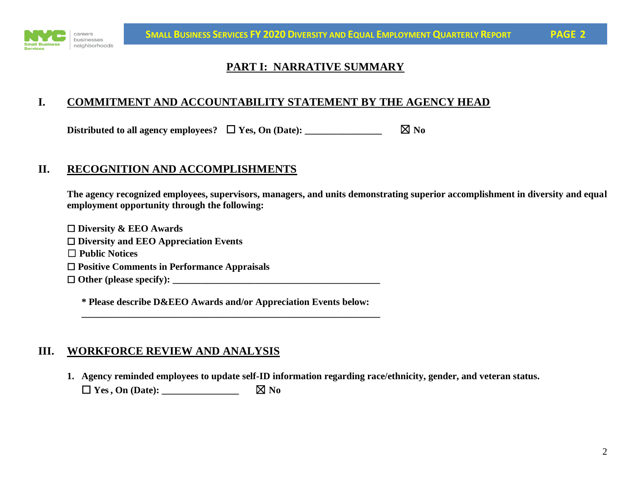

# **PART I: NARRATIVE SUMMARY**

### **I. COMMITMENT AND ACCOUNTABILITY STATEMENT BY THE AGENCY HEAD**

Distributed to all agency employees?  $\Box$  **Yes, On (Date):** \_\_\_\_\_\_\_\_\_\_\_\_\_\_\_\_\_\_\_\_  $\boxtimes$  No

### **II. RECOGNITION AND ACCOMPLISHMENTS**

**The agency recognized employees, supervisors, managers, and units demonstrating superior accomplishment in diversity and equal employment opportunity through the following:**

☐ **Diversity & EEO Awards** ☐ **Diversity and EEO Appreciation Events** ☐ **Public Notices** ☐ **Positive Comments in Performance Appraisals** ☐ **Other (please specify): \_\_\_\_\_\_\_\_\_\_\_\_\_\_\_\_\_\_\_\_\_\_\_\_\_\_\_\_\_\_\_\_\_\_\_\_\_\_\_\_\_\_\_**

**\* Please describe D&EEO Awards and/or Appreciation Events below: \_\_\_\_\_\_\_\_\_\_\_\_\_\_\_\_\_\_\_\_\_\_\_\_\_\_\_\_\_\_\_\_\_\_\_\_\_\_\_\_\_\_\_\_\_\_\_\_\_\_\_\_\_\_\_\_\_\_\_\_\_\_**

#### **III. WORKFORCE REVIEW AND ANALYSIS**

**1. Agency reminded employees to update self-ID information regarding race/ethnicity, gender, and veteran status.**  $\Box$  **Yes**, On (Date):  $\Box$  **No**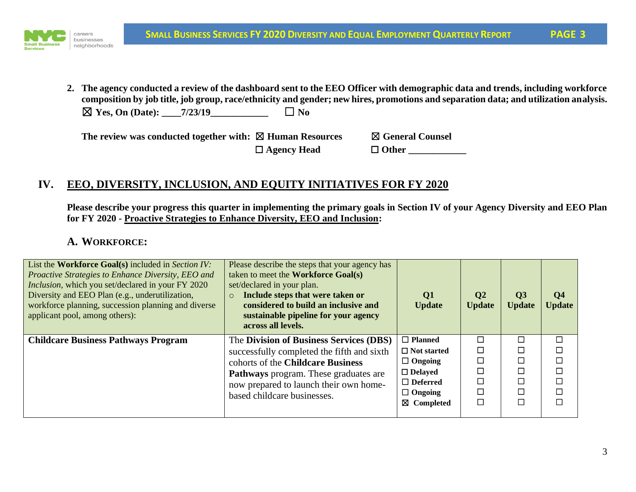

**2. The agency conducted a review of the dashboard sent to the EEO Officer with demographic data and trends, including workforce composition by job title, job group, race/ethnicity and gender; new hires, promotions and separation data; and utilization analysis.**   $\boxtimes$  **Yes, On (Date):**  $\qquad$  7/23/19  $\qquad \Box$  **No** 

**The review was conducted together with:** ☒ **Human Resources** ☒ **General Counsel** ☐ **Agency Head** ☐ **Other \_\_\_\_\_\_\_\_\_\_\_\_**

## **IV. EEO, DIVERSITY, INCLUSION, AND EQUITY INITIATIVES FOR FY 2020**

**Please describe your progress this quarter in implementing the primary goals in Section IV of your Agency Diversity and EEO Plan for FY 2020 - Proactive Strategies to Enhance Diversity, EEO and Inclusion:**

#### **A. WORKFORCE:**

| List the Workforce Goal(s) included in Section IV:<br>Proactive Strategies to Enhance Diversity, EEO and<br><i>Inclusion</i> , which you set/declared in your FY 2020<br>Diversity and EEO Plan (e.g., underutilization,<br>workforce planning, succession planning and diverse<br>applicant pool, among others): | Please describe the steps that your agency has<br>taken to meet the <b>Workforce Goal(s)</b><br>set/declared in your plan.<br>Include steps that were taken or<br>$\circ$<br>considered to build an inclusive and<br>sustainable pipeline for your agency<br>across all levels. | Q <sub>1</sub><br><b>Update</b> | $\mathbf{Q}2$<br><b>Update</b> | Q <sub>3</sub><br><b>Update</b> | Q <sub>4</sub><br><b>Update</b> |
|-------------------------------------------------------------------------------------------------------------------------------------------------------------------------------------------------------------------------------------------------------------------------------------------------------------------|---------------------------------------------------------------------------------------------------------------------------------------------------------------------------------------------------------------------------------------------------------------------------------|---------------------------------|--------------------------------|---------------------------------|---------------------------------|
| <b>Childcare Business Pathways Program</b>                                                                                                                                                                                                                                                                        | The Division of Business Services (DBS)                                                                                                                                                                                                                                         | $\Box$ Planned                  | $\Box$                         | $\Box$                          |                                 |
|                                                                                                                                                                                                                                                                                                                   | successfully completed the fifth and sixth                                                                                                                                                                                                                                      | $\Box$ Not started              | $\Box$                         |                                 |                                 |
|                                                                                                                                                                                                                                                                                                                   | cohorts of the Childcare Business                                                                                                                                                                                                                                               | $\Box$ Ongoing                  | $\Box$                         |                                 |                                 |
|                                                                                                                                                                                                                                                                                                                   | <b>Pathways</b> program. These graduates are                                                                                                                                                                                                                                    | $\Box$ Delayed                  | $\Box$                         |                                 |                                 |
|                                                                                                                                                                                                                                                                                                                   | now prepared to launch their own home-                                                                                                                                                                                                                                          | $\Box$ Deferred                 | П                              |                                 |                                 |
|                                                                                                                                                                                                                                                                                                                   | based childcare businesses.                                                                                                                                                                                                                                                     | $\Box$ Ongoing                  | ⊏                              |                                 |                                 |
|                                                                                                                                                                                                                                                                                                                   |                                                                                                                                                                                                                                                                                 | $\boxtimes$ Completed           | $\Box$                         |                                 |                                 |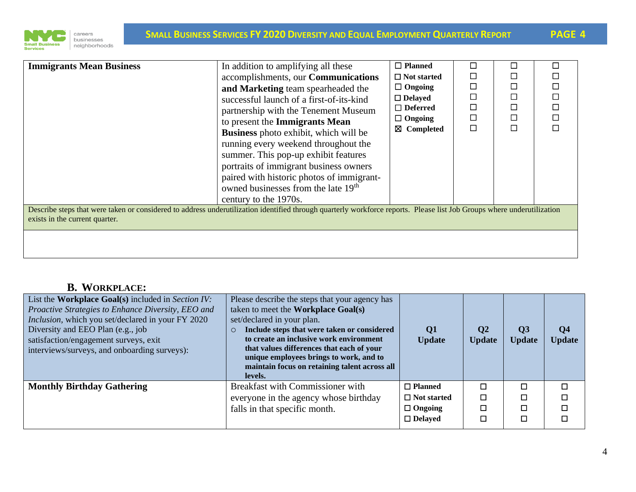

| <b>Immigrants Mean Business</b>                                                                                                                                                                                                   | In addition to amplifying all these<br>accomplishments, our <b>Communications</b><br>and Marketing team spearheaded the<br>successful launch of a first-of-its-kind<br>partnership with the Tenement Museum<br>to present the Immigrants Mean<br><b>Business</b> photo exhibit, which will be<br>running every weekend throughout the<br>summer. This pop-up exhibit features<br>portraits of immigrant business owners<br>paired with historic photos of immigrant-<br>owned businesses from the late 19 <sup>th</sup> | $\Box$ Planned<br>$\Box$ Not started<br>$\Box$ Ongoing<br>$\Box$ Delayed<br>$\Box$ Deferred<br>$\Box$ Ongoing<br>$\boxtimes$ Completed | $\Box$ | П<br>П<br>$\Box$<br>П<br>$\Box$<br>$\Box$<br>П |  |  |  |  |
|-----------------------------------------------------------------------------------------------------------------------------------------------------------------------------------------------------------------------------------|-------------------------------------------------------------------------------------------------------------------------------------------------------------------------------------------------------------------------------------------------------------------------------------------------------------------------------------------------------------------------------------------------------------------------------------------------------------------------------------------------------------------------|----------------------------------------------------------------------------------------------------------------------------------------|--------|------------------------------------------------|--|--|--|--|
| century to the 1970s.<br>Describe steps that were taken or considered to address underutilization identified through quarterly workforce reports. Please list Job Groups where underutilization<br>exists in the current quarter. |                                                                                                                                                                                                                                                                                                                                                                                                                                                                                                                         |                                                                                                                                        |        |                                                |  |  |  |  |

# **B. WORKPLACE:**

| List the Workplace Goal(s) included in Section IV:<br>Proactive Strategies to Enhance Diversity, EEO and<br>Inclusion, which you set/declared in your FY 2020<br>Diversity and EEO Plan (e.g., job<br>satisfaction/engagement surveys, exit<br>interviews/surveys, and onboarding surveys): | Please describe the steps that your agency has<br>taken to meet the <b>Workplace Goal(s)</b><br>set/declared in your plan.<br>Include steps that were taken or considered<br>$\circ$<br>to create an inclusive work environment<br>that values differences that each of your<br>unique employees brings to work, and to<br>maintain focus on retaining talent across all<br>levels. | Q <sub>1</sub><br><b>Update</b> | $\mathbf{Q}2$<br><b>Update</b> | $\overline{Q}$ 3<br><b>Update</b> | Q <sub>4</sub><br><b>Update</b> |
|---------------------------------------------------------------------------------------------------------------------------------------------------------------------------------------------------------------------------------------------------------------------------------------------|-------------------------------------------------------------------------------------------------------------------------------------------------------------------------------------------------------------------------------------------------------------------------------------------------------------------------------------------------------------------------------------|---------------------------------|--------------------------------|-----------------------------------|---------------------------------|
| <b>Monthly Birthday Gathering</b>                                                                                                                                                                                                                                                           | Breakfast with Commissioner with                                                                                                                                                                                                                                                                                                                                                    | $\Box$ Planned                  | □                              | $\Box$                            | □                               |
|                                                                                                                                                                                                                                                                                             | everyone in the agency whose birthday                                                                                                                                                                                                                                                                                                                                               | $\Box$ Not started              | □                              | Π                                 | □                               |
|                                                                                                                                                                                                                                                                                             | falls in that specific month.                                                                                                                                                                                                                                                                                                                                                       | $\Box$ Ongoing                  | □                              | П                                 |                                 |
|                                                                                                                                                                                                                                                                                             |                                                                                                                                                                                                                                                                                                                                                                                     | $\Box$ Delayed                  |                                | П                                 | □                               |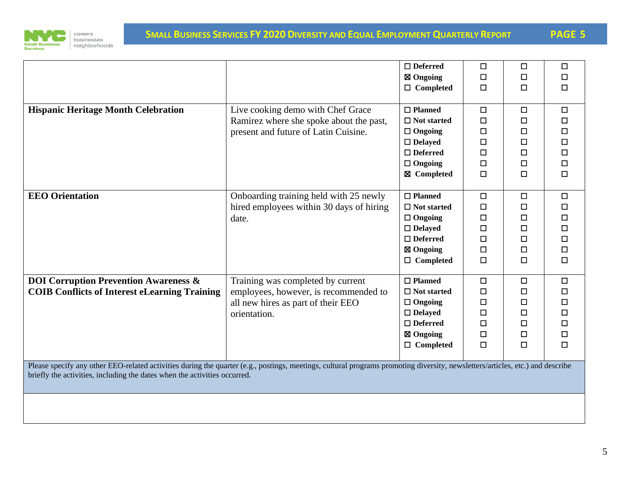

|                                                                                                                                                                                                                                                            |                                                                                                                                  | $\Box$ Deferred<br>$\boxtimes$ Ongoing<br>$\Box$ Completed                                                                   | $\Box$<br>$\Box$<br>$\Box$                                         | $\Box$<br>$\Box$<br>□                                              | □<br>□<br>□                          |
|------------------------------------------------------------------------------------------------------------------------------------------------------------------------------------------------------------------------------------------------------------|----------------------------------------------------------------------------------------------------------------------------------|------------------------------------------------------------------------------------------------------------------------------|--------------------------------------------------------------------|--------------------------------------------------------------------|--------------------------------------|
| <b>Hispanic Heritage Month Celebration</b>                                                                                                                                                                                                                 | Live cooking demo with Chef Grace<br>Ramirez where she spoke about the past,<br>present and future of Latin Cuisine.             | $\Box$ Planned<br>$\Box$ Not started<br>$\Box$ Ongoing<br>$\Box$ Delayed<br>$\Box$ Deferred<br>$\Box$ Ongoing<br>⊠ Completed | $\Box$<br>$\Box$<br>□<br>$\Box$<br>□<br>$\Box$<br>$\Box$           | $\Box$<br>$\Box$<br>$\Box$<br>$\Box$<br>$\Box$<br>$\Box$<br>$\Box$ | □<br>□<br>□<br>□<br>□<br>□<br>◻      |
| <b>EEO</b> Orientation                                                                                                                                                                                                                                     | Onboarding training held with 25 newly<br>hired employees within 30 days of hiring<br>date.                                      | $\Box$ Planned<br>$\Box$ Not started<br>$\Box$ Ongoing<br>$\Box$ Delayed<br>$\Box$ Deferred<br>⊠ Ongoing<br>$\Box$ Completed | $\Box$<br>$\Box$<br>□<br>$\Box$<br>$\Box$<br>$\Box$<br>$\Box$      | $\Box$<br>□<br>□<br>$\Box$<br>$\Box$<br>$\Box$<br>$\Box$           | ◻<br>□<br>□<br>□<br>$\Box$<br>□<br>□ |
| <b>DOI Corruption Prevention Awareness &amp;</b><br><b>COIB Conflicts of Interest eLearning Training</b>                                                                                                                                                   | Training was completed by current<br>employees, however, is recommended to<br>all new hires as part of their EEO<br>orientation. | $\Box$ Planned<br>$\Box$ Not started<br>$\Box$ Ongoing<br>$\Box$ Delayed<br>$\Box$ Deferred<br>⊠ Ongoing<br>$\Box$ Completed | $\Box$<br>$\Box$<br>$\Box$<br>$\Box$<br>$\Box$<br>$\Box$<br>$\Box$ | $\Box$<br>$\Box$<br>□<br>$\Box$<br>$\Box$<br>$\Box$<br>$\Box$      | $\Box$<br>□<br>□<br>□<br>□<br>□<br>□ |
| Please specify any other EEO-related activities during the quarter (e.g., postings, meetings, cultural programs promoting diversity, newsletters/articles, etc.) and describe<br>briefly the activities, including the dates when the activities occurred. |                                                                                                                                  |                                                                                                                              |                                                                    |                                                                    |                                      |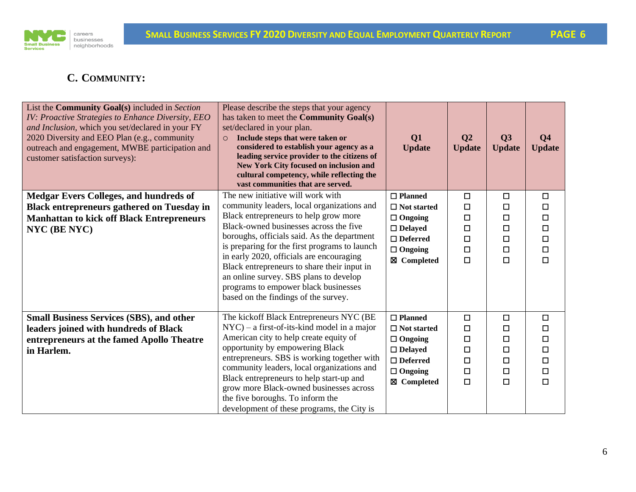

# **C. COMMUNITY:**

| List the <b>Community Goal(s)</b> included in Section<br>IV: Proactive Strategies to Enhance Diversity, EEO<br>and Inclusion, which you set/declared in your FY<br>2020 Diversity and EEO Plan (e.g., community<br>outreach and engagement, MWBE participation and<br>customer satisfaction surveys): | Please describe the steps that your agency<br>has taken to meet the <b>Community Goal(s)</b><br>set/declared in your plan.<br>Include steps that were taken or<br>$\circ$<br>considered to establish your agency as a<br>leading service provider to the citizens of<br><b>New York City focused on inclusion and</b><br>cultural competency, while reflecting the<br>vast communities that are served. | Q1<br><b>Update</b>                  | Q <sub>2</sub><br><b>Update</b> | Q3<br><b>Update</b> | Q <sub>4</sub><br><b>Update</b> |
|-------------------------------------------------------------------------------------------------------------------------------------------------------------------------------------------------------------------------------------------------------------------------------------------------------|---------------------------------------------------------------------------------------------------------------------------------------------------------------------------------------------------------------------------------------------------------------------------------------------------------------------------------------------------------------------------------------------------------|--------------------------------------|---------------------------------|---------------------|---------------------------------|
| <b>Medgar Evers Colleges, and hundreds of</b><br><b>Black entrepreneurs gathered on Tuesday in</b>                                                                                                                                                                                                    | The new initiative will work with<br>community leaders, local organizations and                                                                                                                                                                                                                                                                                                                         | $\Box$ Planned<br>$\Box$ Not started | $\Box$<br>□                     | $\Box$<br>□         | $\Box$<br>$\Box$                |
| <b>Manhattan to kick off Black Entrepreneurs</b>                                                                                                                                                                                                                                                      | Black entrepreneurs to help grow more<br>Black-owned businesses across the five                                                                                                                                                                                                                                                                                                                         | $\Box$ Ongoing                       | □                               | $\Box$              | $\Box$                          |
| NYC (BE NYC)                                                                                                                                                                                                                                                                                          | boroughs, officials said. As the department                                                                                                                                                                                                                                                                                                                                                             | $\Box$ Delayed<br>$\Box$ Deferred    | $\Box$<br>□                     | $\Box$<br>□         | $\Box$<br>$\Box$                |
|                                                                                                                                                                                                                                                                                                       | is preparing for the first programs to launch                                                                                                                                                                                                                                                                                                                                                           | $\Box$ Ongoing                       | □                               | $\Box$              | $\Box$                          |
|                                                                                                                                                                                                                                                                                                       | in early 2020, officials are encouraging<br>Black entrepreneurs to share their input in<br>an online survey. SBS plans to develop<br>programs to empower black businesses<br>based on the findings of the survey.                                                                                                                                                                                       | ⊠ Completed                          | $\Box$                          | $\Box$              | $\Box$                          |
| <b>Small Business Services (SBS), and other</b>                                                                                                                                                                                                                                                       | The kickoff Black Entrepreneurs NYC (BE                                                                                                                                                                                                                                                                                                                                                                 | $\Box$ Planned                       | $\Box$                          | $\Box$              | $\Box$                          |
| leaders joined with hundreds of Black<br>entrepreneurs at the famed Apollo Theatre                                                                                                                                                                                                                    | $NYC$ – a first-of-its-kind model in a major<br>American city to help create equity of                                                                                                                                                                                                                                                                                                                  | $\Box$ Not started<br>$\Box$ Ongoing | $\Box$<br>□                     | □<br>□              | $\Box$<br>$\Box$                |
| in Harlem.                                                                                                                                                                                                                                                                                            | opportunity by empowering Black                                                                                                                                                                                                                                                                                                                                                                         | $\Box$ Delayed                       | □                               | $\Box$              | $\Box$                          |
|                                                                                                                                                                                                                                                                                                       | entrepreneurs. SBS is working together with                                                                                                                                                                                                                                                                                                                                                             | $\Box$ Deferred                      | $\Box$                          | □                   | $\Box$                          |
|                                                                                                                                                                                                                                                                                                       | community leaders, local organizations and<br>Black entrepreneurs to help start-up and                                                                                                                                                                                                                                                                                                                  | $\Box$ Ongoing                       | □<br>$\Box$                     | □<br>$\Box$         | $\Box$<br>$\Box$                |
|                                                                                                                                                                                                                                                                                                       | grow more Black-owned businesses across                                                                                                                                                                                                                                                                                                                                                                 | ⊠ Completed                          |                                 |                     |                                 |
|                                                                                                                                                                                                                                                                                                       | the five boroughs. To inform the<br>development of these programs, the City is                                                                                                                                                                                                                                                                                                                          |                                      |                                 |                     |                                 |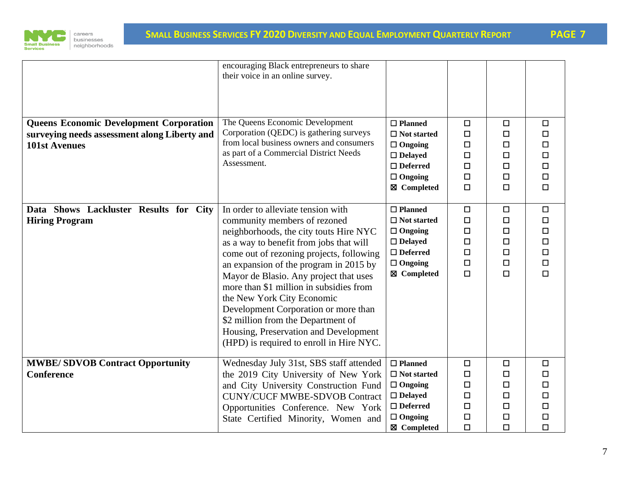

| <b>Queens Economic Development Corporation</b><br>surveying needs assessment along Liberty and | encouraging Black entrepreneurs to share<br>their voice in an online survey.<br>The Queens Economic Development<br>Corporation (QEDC) is gathering surveys                                                                                                                                                                                                                                                                                                                                                                          | $\Box$ Planned<br>$\Box$ Not started                                                                                         | $\Box$<br>$\Box$                                                   | □<br>□                                                   | $\Box$<br>$\Box$                                                   |
|------------------------------------------------------------------------------------------------|-------------------------------------------------------------------------------------------------------------------------------------------------------------------------------------------------------------------------------------------------------------------------------------------------------------------------------------------------------------------------------------------------------------------------------------------------------------------------------------------------------------------------------------|------------------------------------------------------------------------------------------------------------------------------|--------------------------------------------------------------------|----------------------------------------------------------|--------------------------------------------------------------------|
| <b>101st Avenues</b>                                                                           | from local business owners and consumers<br>as part of a Commercial District Needs<br>Assessment.                                                                                                                                                                                                                                                                                                                                                                                                                                   | $\Box$ Ongoing<br>$\Box$ Delayed<br>$\Box$ Deferred<br>$\Box$ Ongoing<br>⊠ Completed                                         | $\Box$<br>$\Box$<br>□<br>О<br>$\Box$                               | $\Box$<br>$\Box$<br>□<br>$\Box$<br>$\Box$                | $\Box$<br>$\Box$<br>$\Box$<br>$\Box$<br>$\Box$                     |
| Data Shows Lackluster Results for City<br><b>Hiring Program</b>                                | In order to alleviate tension with<br>community members of rezoned<br>neighborhoods, the city touts Hire NYC<br>as a way to benefit from jobs that will<br>come out of rezoning projects, following<br>an expansion of the program in 2015 by<br>Mayor de Blasio. Any project that uses<br>more than \$1 million in subsidies from<br>the New York City Economic<br>Development Corporation or more than<br>\$2 million from the Department of<br>Housing, Preservation and Development<br>(HPD) is required to enroll in Hire NYC. | $\Box$ Planned<br>$\Box$ Not started<br>$\Box$ Ongoing<br>$\Box$ Delayed<br>$\Box$ Deferred<br>$\Box$ Ongoing<br>⊠ Completed | $\Box$<br>$\Box$<br>$\Box$<br>$\Box$<br>$\Box$<br>$\Box$<br>$\Box$ | $\Box$<br>□<br>□<br>$\Box$<br>$\Box$<br>$\Box$<br>$\Box$ | $\Box$<br>$\Box$<br>$\Box$<br>$\Box$<br>$\Box$<br>$\Box$<br>$\Box$ |
| <b>MWBE/SDVOB Contract Opportunity</b><br><b>Conference</b>                                    | Wednesday July 31st, SBS staff attended<br>the 2019 City University of New York<br>and City University Construction Fund<br><b>CUNY/CUCF MWBE-SDVOB Contract</b><br>Opportunities Conference. New York<br>State Certified Minority, Women and                                                                                                                                                                                                                                                                                       | $\Box$ Planned<br>$\Box$ Not started<br>$\Box$ Ongoing<br>$\Box$ Delayed<br>$\Box$ Deferred<br>$\Box$ Ongoing<br>⊠ Completed | $\Box$<br>$\Box$<br>$\Box$<br>$\Box$<br>$\Box$<br>$\Box$<br>$\Box$ | $\Box$<br>$\Box$<br>□<br>□<br>□<br>$\Box$<br>$\Box$      | $\Box$<br>$\Box$<br>$\Box$<br>$\Box$<br>$\Box$<br>$\Box$<br>$\Box$ |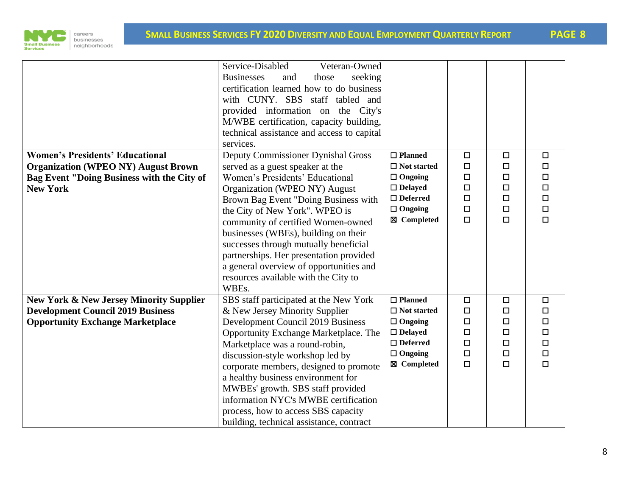



|                                                    | Service-Disabled<br>Veteran-Owned<br><b>Businesses</b><br>seeking<br>those<br>and<br>certification learned how to do business<br>with CUNY. SBS staff tabled and<br>provided information on the City's<br>M/WBE certification, capacity building,<br>technical assistance and access to capital<br>services. |                               |                  |             |                  |
|----------------------------------------------------|--------------------------------------------------------------------------------------------------------------------------------------------------------------------------------------------------------------------------------------------------------------------------------------------------------------|-------------------------------|------------------|-------------|------------------|
| <b>Women's Presidents' Educational</b>             | <b>Deputy Commissioner Dynishal Gross</b>                                                                                                                                                                                                                                                                    | $\square$ Planned             | $\Box$           | $\Box$      | $\Box$           |
| <b>Organization (WPEO NY) August Brown</b>         | served as a guest speaker at the                                                                                                                                                                                                                                                                             | $\Box$ Not started            | □                | □           | $\Box$           |
| Bag Event "Doing Business with the City of         | Women's Presidents' Educational                                                                                                                                                                                                                                                                              | $\Box$ Ongoing                | $\Box$           | □           | $\Box$           |
| <b>New York</b>                                    | Organization (WPEO NY) August                                                                                                                                                                                                                                                                                | $\Box$ Delayed                | $\Box$           | $\Box$      | $\Box$           |
|                                                    | Brown Bag Event "Doing Business with                                                                                                                                                                                                                                                                         | $\Box$ Deferred               | $\Box$           | $\Box$      | $\Box$           |
|                                                    | the City of New York". WPEO is                                                                                                                                                                                                                                                                               | $\Box$ Ongoing<br>⊠ Completed | $\Box$<br>$\Box$ | $\Box$<br>□ | $\Box$<br>$\Box$ |
|                                                    | community of certified Women-owned                                                                                                                                                                                                                                                                           |                               |                  |             |                  |
|                                                    | businesses (WBEs), building on their                                                                                                                                                                                                                                                                         |                               |                  |             |                  |
|                                                    | successes through mutually beneficial                                                                                                                                                                                                                                                                        |                               |                  |             |                  |
|                                                    | partnerships. Her presentation provided                                                                                                                                                                                                                                                                      |                               |                  |             |                  |
|                                                    | a general overview of opportunities and                                                                                                                                                                                                                                                                      |                               |                  |             |                  |
|                                                    | resources available with the City to<br>WBEs.                                                                                                                                                                                                                                                                |                               |                  |             |                  |
| <b>New York &amp; New Jersey Minority Supplier</b> | SBS staff participated at the New York                                                                                                                                                                                                                                                                       | $\Box$ Planned                | $\Box$           | $\Box$      | $\Box$           |
| <b>Development Council 2019 Business</b>           | & New Jersey Minority Supplier                                                                                                                                                                                                                                                                               | $\Box$ Not started            | □                | $\Box$      | $\Box$           |
| <b>Opportunity Exchange Marketplace</b>            | <b>Development Council 2019 Business</b>                                                                                                                                                                                                                                                                     | $\Box$ Ongoing                | □                | □           | $\Box$           |
|                                                    | Opportunity Exchange Marketplace. The                                                                                                                                                                                                                                                                        | $\Box$ Delayed                | $\Box$           | $\Box$      | $\Box$           |
|                                                    | Marketplace was a round-robin,                                                                                                                                                                                                                                                                               | $\Box$ Deferred               | $\Box$           | $\Box$      | $\Box$           |
|                                                    | discussion-style workshop led by                                                                                                                                                                                                                                                                             | $\Box$ Ongoing                | $\Box$           | $\Box$      | $\Box$           |
|                                                    | corporate members, designed to promote                                                                                                                                                                                                                                                                       | ⊠ Completed                   | $\Box$           | $\Box$      | $\Box$           |
|                                                    | a healthy business environment for                                                                                                                                                                                                                                                                           |                               |                  |             |                  |
|                                                    | MWBEs' growth. SBS staff provided                                                                                                                                                                                                                                                                            |                               |                  |             |                  |
|                                                    | information NYC's MWBE certification                                                                                                                                                                                                                                                                         |                               |                  |             |                  |
|                                                    | process, how to access SBS capacity                                                                                                                                                                                                                                                                          |                               |                  |             |                  |
|                                                    | building, technical assistance, contract                                                                                                                                                                                                                                                                     |                               |                  |             |                  |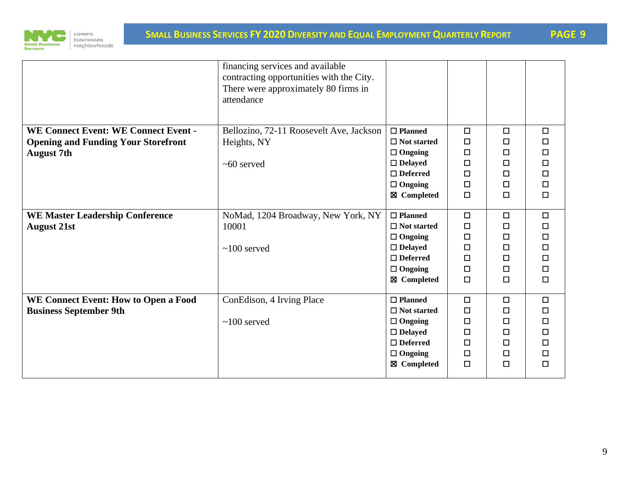

|                                                                                                                | financing services and available<br>contracting opportunities with the City.<br>There were approximately 80 firms in<br>attendance |                                                                                                                              |                                                          |                                                          |                                                                    |
|----------------------------------------------------------------------------------------------------------------|------------------------------------------------------------------------------------------------------------------------------------|------------------------------------------------------------------------------------------------------------------------------|----------------------------------------------------------|----------------------------------------------------------|--------------------------------------------------------------------|
| <b>WE Connect Event: WE Connect Event -</b><br><b>Opening and Funding Your Storefront</b><br><b>August 7th</b> | Bellozino, 72-11 Roosevelt Ave, Jackson<br>Heights, NY<br>$~100$ served                                                            | $\Box$ Planned<br>$\Box$ Not started<br>$\Box$ Ongoing<br>$\Box$ Delayed<br>$\Box$ Deferred<br>$\Box$ Ongoing<br>⊠ Completed | □<br>□<br>$\Box$<br>□<br>$\Box$<br>$\Box$<br>$\Box$      | $\Box$<br>□<br>□<br>□<br>□<br>□<br>$\Box$                | $\Box$<br>□<br>$\Box$<br>$\Box$<br>$\Box$<br>$\Box$<br>$\Box$      |
| <b>WE Master Leadership Conference</b><br><b>August 21st</b>                                                   | NoMad, 1204 Broadway, New York, NY<br>10001<br>$\sim 100$ served                                                                   | $\Box$ Planned<br>$\Box$ Not started<br>$\Box$ Ongoing<br>$\Box$ Delayed<br>$\Box$ Deferred<br>$\Box$ Ongoing<br>⊠ Completed | □<br>$\Box$<br>$\Box$<br>$\Box$<br>□<br>$\Box$<br>$\Box$ | $\Box$<br>$\Box$<br>□<br>$\Box$<br>□<br>$\Box$<br>$\Box$ | $\Box$<br>$\Box$<br>$\Box$<br>$\Box$<br>$\Box$<br>$\Box$<br>$\Box$ |
| WE Connect Event: How to Open a Food<br><b>Business September 9th</b>                                          | ConEdison, 4 Irving Place<br>$~100$ served                                                                                         | $\Box$ Planned<br>$\Box$ Not started<br>$\Box$ Ongoing<br>$\Box$ Delayed<br>$\Box$ Deferred<br>$\Box$ Ongoing<br>⊠ Completed | $\Box$<br>$\Box$<br>□<br>$\Box$<br>□<br>$\Box$<br>$\Box$ | $\Box$<br>□<br>□<br>$\Box$<br>□<br>$\Box$<br>$\Box$      | $\Box$<br>$\Box$<br>□<br>$\Box$<br>$\Box$<br>$\Box$<br>$\Box$      |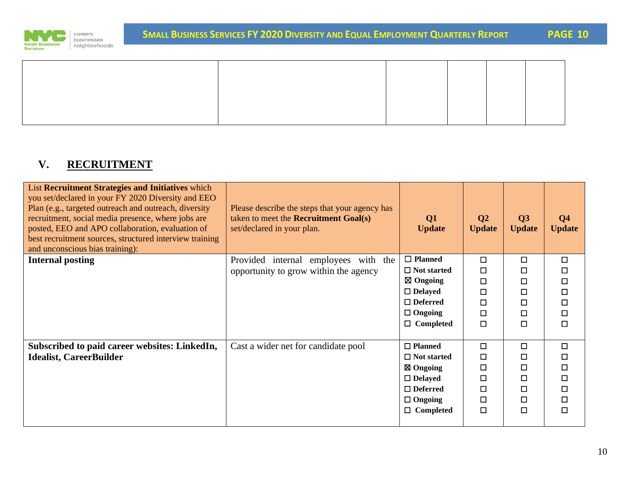

# **V. RECRUITMENT**

| List Recruitment Strategies and Initiatives which<br>you set/declared in your FY 2020 Diversity and EEO<br>Plan (e.g., targeted outreach and outreach, diversity<br>recruitment, social media presence, where jobs are<br>posted, EEO and APO collaboration, evaluation of<br>best recruitment sources, structured interview training<br>and unconscious bias training): | Please describe the steps that your agency has<br>taken to meet the <b>Recruitment Goal(s)</b><br>set/declared in your plan. | Q1<br><b>Update</b> | Q <sub>2</sub><br><b>Update</b> | Q3<br><b>Update</b> | Q <sub>4</sub><br><b>Update</b> |
|--------------------------------------------------------------------------------------------------------------------------------------------------------------------------------------------------------------------------------------------------------------------------------------------------------------------------------------------------------------------------|------------------------------------------------------------------------------------------------------------------------------|---------------------|---------------------------------|---------------------|---------------------------------|
| <b>Internal posting</b>                                                                                                                                                                                                                                                                                                                                                  | Provided internal employees<br>with the                                                                                      | $\Box$ Planned      | □                               | $\Box$              | $\Box$                          |
|                                                                                                                                                                                                                                                                                                                                                                          | opportunity to grow within the agency                                                                                        | $\Box$ Not started  | □                               | □                   |                                 |
|                                                                                                                                                                                                                                                                                                                                                                          |                                                                                                                              | $\boxtimes$ Ongoing | □                               | □                   | □                               |
|                                                                                                                                                                                                                                                                                                                                                                          |                                                                                                                              | $\Box$ Delayed      | $\Box$                          | $\Box$              | □                               |
|                                                                                                                                                                                                                                                                                                                                                                          |                                                                                                                              | $\Box$ Deferred     | П                               | 口                   | □                               |
|                                                                                                                                                                                                                                                                                                                                                                          |                                                                                                                              | $\Box$ Ongoing      | $\Box$                          | $\Box$              | □                               |
|                                                                                                                                                                                                                                                                                                                                                                          |                                                                                                                              | $\Box$ Completed    | □                               | $\Box$              | □                               |
| Subscribed to paid career websites: LinkedIn,                                                                                                                                                                                                                                                                                                                            | Cast a wider net for candidate pool                                                                                          | $\Box$ Planned      | □                               | $\Box$              | □                               |
| <b>Idealist, CareerBuilder</b>                                                                                                                                                                                                                                                                                                                                           |                                                                                                                              | $\Box$ Not started  | □                               | □                   |                                 |
|                                                                                                                                                                                                                                                                                                                                                                          |                                                                                                                              | ⊠ Ongoing           | □                               | □                   |                                 |
|                                                                                                                                                                                                                                                                                                                                                                          |                                                                                                                              | $\Box$ Delayed      | □                               | $\Box$              | □                               |
|                                                                                                                                                                                                                                                                                                                                                                          |                                                                                                                              | $\Box$ Deferred     | □                               | $\Box$              | □                               |
|                                                                                                                                                                                                                                                                                                                                                                          |                                                                                                                              | $\Box$ Ongoing      | □                               | 口                   | □                               |
|                                                                                                                                                                                                                                                                                                                                                                          |                                                                                                                              | $\Box$ Completed    | □                               | $\Box$              | П                               |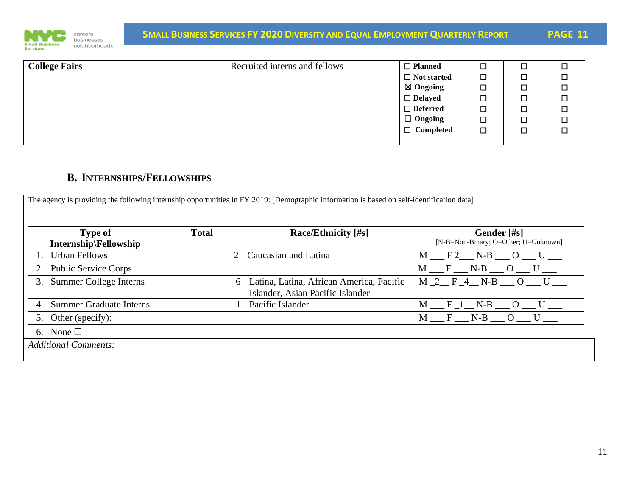

| <b>College Fairs</b> | Recruited interns and fellows | $\Box$ Planned      | □      |   |
|----------------------|-------------------------------|---------------------|--------|---|
|                      |                               | $\Box$ Not started  | $\Box$ | □ |
|                      |                               | $\boxtimes$ Ongoing | $\Box$ | □ |
|                      |                               | $\Box$ Delayed      | $\Box$ | □ |
|                      |                               | $\Box$ Deferred     | $\Box$ | □ |
|                      |                               | $\Box$ Ongoing      | $\Box$ | □ |
|                      |                               | $\Box$ Completed    | $\Box$ | П |
|                      |                               |                     |        |   |

# **B. INTERNSHIPS/FELLOWSHIPS**

The agency is providing the following internship opportunities in FY 2019: [Demographic information is based on self-identification data] **Type of Internship\Fellowship** Total **Race/Ethnicity [#s]** Gender [#s] [N-B=Non-Binary; O=Other; U=Unknown] 1. Urban Fellows 2 Caucasian and Latina M \_\_\_ F 2 \_\_ N-B \_\_ O \_\_ U 2. Public Service Corps  $\begin{array}{ccc} \boxed{M_F\_N_B\_O\_U\_} \end{array}$ 3. Summer College Interns 6 Latina, Latina, African America, Pacific Islander, Asian Pacific Islander M 2 F 4 N-B O U 4. Summer Graduate Interns  $\begin{array}{ccc} 1 & \text{Pacific Islander} \end{array}$   $\begin{array}{ccc} \text{M} & \text{F}_1 & \text{N-B}_0 & \text{U}_1 \end{array}$ 5. Other (specify):  $\begin{array}{ccc} \boxed{M-F \quad N-B \quad O \quad U} \end{array}$ 6. None  $\Box$ *Additional Comments:*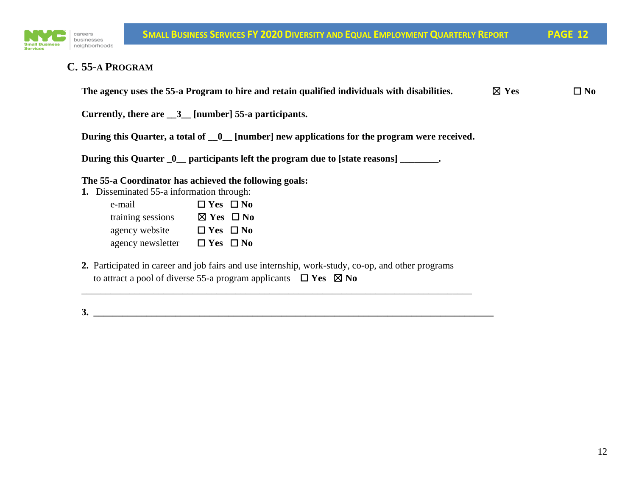

### **C. 55-A PROGRAM**

| The agency uses the 55-a Program to hire and retain qualified individuals with disabilities. | $\boxtimes$ Yes | $\square$ No |
|----------------------------------------------------------------------------------------------|-----------------|--------------|
| Currently, there are $\_\,$ 3 [number] 55-a participants.                                    |                 |              |
| During this Quarter, a total of _0_ [number] new applications for the program were received. |                 |              |
| During this Quarter _0_ participants left the program due to [state reasons] _______.        |                 |              |

**The 55-a Coordinator has achieved the following goals:**

- **1.** Disseminated 55-a information through:
	- e-mail ☐ **Yes** ☐ **No** training sessions ☒ **Yes** ☐ **No** agency website ☐ **Yes** ☐ **No** agency newsletter ☐ **Yes** ☐ **No**
- **2.** Participated in career and job fairs and use internship, work-study, co-op, and other programs to attract a pool of diverse 55-a program applicants  $\Box$  **Yes**  $\boxtimes$  **No**

\_\_\_\_\_\_\_\_\_\_\_\_\_\_\_\_\_\_\_\_\_\_\_\_\_\_\_\_\_\_\_\_\_\_\_\_\_\_\_\_\_\_\_\_\_\_\_\_\_\_\_\_\_\_\_\_\_\_\_\_\_\_\_\_\_\_\_\_\_\_\_\_\_\_\_\_\_\_\_\_\_

**3. \_\_\_\_\_\_\_\_\_\_\_\_\_\_\_\_\_\_\_\_\_\_\_\_\_\_\_\_\_\_\_\_\_\_\_\_\_\_\_\_\_\_\_\_\_\_\_\_\_\_\_\_\_\_\_\_\_\_\_\_\_\_\_\_\_\_\_\_\_\_\_\_\_\_\_\_\_\_\_\_\_\_\_**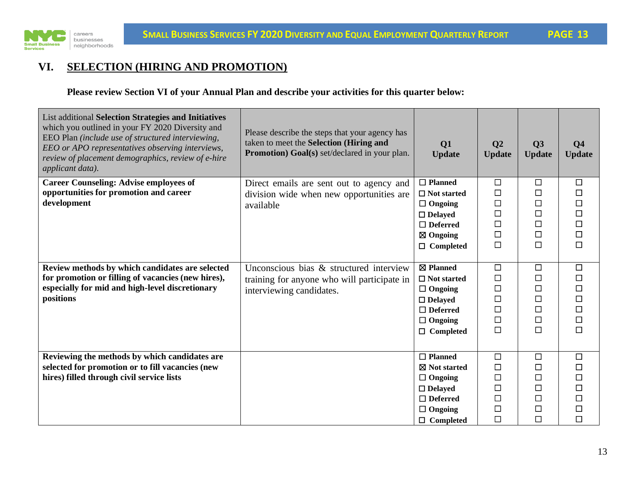

# **VI. SELECTION (HIRING AND PROMOTION)**

**Please review Section VI of your Annual Plan and describe your activities for this quarter below:**

| List additional Selection Strategies and Initiatives<br>which you outlined in your FY 2020 Diversity and<br>EEO Plan (include use of structured interviewing,<br>EEO or APO representatives observing interviews,<br>review of placement demographics, review of e-hire<br>applicant data). | Please describe the steps that your agency has<br>taken to meet the Selection (Hiring and<br><b>Promotion</b> ) Goal(s) set/declared in your plan. | Q1<br><b>Update</b>                                                                                                                    | Q <sub>2</sub><br><b>Update</b>                                    | Q3<br><b>Update</b>                                           | Q <sub>4</sub><br><b>Update</b>                                    |
|---------------------------------------------------------------------------------------------------------------------------------------------------------------------------------------------------------------------------------------------------------------------------------------------|----------------------------------------------------------------------------------------------------------------------------------------------------|----------------------------------------------------------------------------------------------------------------------------------------|--------------------------------------------------------------------|---------------------------------------------------------------|--------------------------------------------------------------------|
| <b>Career Counseling: Advise employees of</b><br>opportunities for promotion and career<br>development                                                                                                                                                                                      | Direct emails are sent out to agency and<br>division wide when new opportunities are<br>available                                                  | $\Box$ Planned<br>$\Box$ Not started<br>$\Box$ Ongoing<br>$\Box$ Delayed<br>$\Box$ Deferred<br>$\boxtimes$ Ongoing<br>$\Box$ Completed | $\Box$<br>$\Box$<br>$\Box$<br>$\Box$<br>$\Box$<br>$\Box$<br>$\Box$ | $\Box$<br>□<br>$\Box$<br>$\Box$<br>$\Box$<br>$\Box$<br>$\Box$ | $\Box$<br>$\Box$<br>$\Box$<br>$\Box$<br>$\Box$<br>$\Box$<br>$\Box$ |
| Review methods by which candidates are selected<br>for promotion or filling of vacancies (new hires),<br>especially for mid and high-level discretionary<br>positions                                                                                                                       | Unconscious bias & structured interview<br>training for anyone who will participate in<br>interviewing candidates.                                 | ⊠ Planned<br>$\Box$ Not started<br>$\Box$ Ongoing<br>$\Box$ Delayed<br>$\Box$ Deferred<br>$\Box$ Ongoing<br>$\Box$ Completed           | $\Box$<br>$\Box$<br>$\Box$<br>$\Box$<br>$\Box$<br>$\Box$<br>$\Box$ | $\Box$<br>$\Box$<br>$\Box$<br>$\Box$<br>□<br>$\Box$<br>$\Box$ | $\Box$<br>$\Box$<br>$\Box$<br>$\Box$<br>$\Box$<br>$\Box$<br>$\Box$ |
| Reviewing the methods by which candidates are<br>selected for promotion or to fill vacancies (new<br>hires) filled through civil service lists                                                                                                                                              |                                                                                                                                                    | $\Box$ Planned<br>$\boxtimes$ Not started<br>$\Box$ Ongoing<br>$\Box$ Delayed<br>$\Box$ Deferred<br>$\Box$ Ongoing<br>$\Box$ Completed | $\Box$<br>$\Box$<br>$\Box$<br>$\Box$<br>$\Box$<br>$\Box$<br>$\Box$ | $\Box$<br>□<br>□<br>$\Box$<br>□<br>$\Box$<br>$\Box$           | $\Box$<br>$\Box$<br>$\Box$<br>$\Box$<br>$\Box$<br>$\Box$<br>$\Box$ |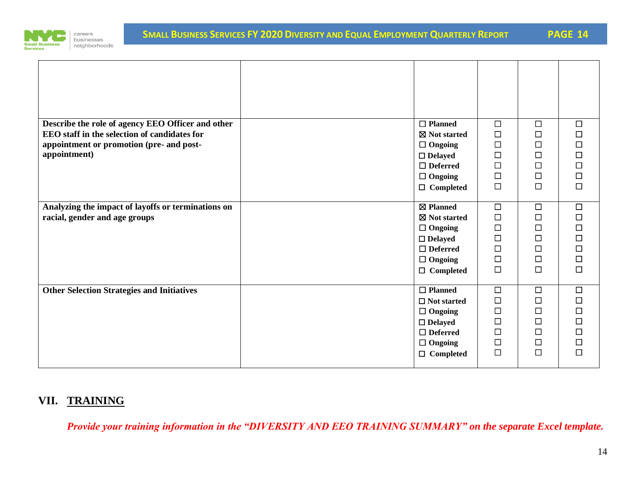

| Describe the role of agency EEO Officer and other<br>EEO staff in the selection of candidates for<br>appointment or promotion (pre- and post-<br>appointment) | $\Box$ Planned<br>⊠ Not started<br>$\Box$ Ongoing<br>$\Box$ Delayed<br>$\Box$ Deferred<br>$\Box$ Ongoing<br>$\Box$ Completed      | $\Box$<br>$\Box$<br>$\Box$<br>$\Box$<br>$\Box$<br>$\Box$<br>$\Box$            | $\Box$<br>□<br>$\Box$<br>□<br>$\Box$<br>$\Box$<br>$\Box$ | $\Box$<br>$\Box$<br>$\Box$<br>$\Box$<br>$\Box$<br>$\Box$<br>$\Box$ |
|---------------------------------------------------------------------------------------------------------------------------------------------------------------|-----------------------------------------------------------------------------------------------------------------------------------|-------------------------------------------------------------------------------|----------------------------------------------------------|--------------------------------------------------------------------|
| Analyzing the impact of layoffs or terminations on<br>racial, gender and age groups                                                                           | ⊠ Planned<br>⊠ Not started<br>$\Box$ Ongoing<br>$\Box$ Delayed<br>$\Box$ Deferred<br>$\Box$ Ongoing<br>$\Box$ Completed           | $\overline{\Box}$<br>$\Box$<br>$\Box$<br>$\Box$<br>$\Box$<br>$\Box$<br>$\Box$ | $\Box$<br>□<br>□<br>$\Box$<br>$\Box$<br>$\Box$<br>$\Box$ | $\Box$<br>$\Box$<br>$\Box$<br>$\Box$<br>$\Box$<br>$\Box$<br>$\Box$ |
| <b>Other Selection Strategies and Initiatives</b>                                                                                                             | $\Box$ Planned<br>$\Box$ Not started<br>$\Box$ Ongoing<br>$\Box$ Delayed<br>$\Box$ Deferred<br>$\Box$ Ongoing<br>$\Box$ Completed | $\Box$<br>$\Box$<br>$\Box$<br>$\Box$<br>$\Box$<br>$\Box$<br>$\Box$            | $\Box$<br>□<br>□<br>$\Box$<br>□<br>□<br>$\Box$           | $\Box$<br>$\Box$<br>$\Box$<br>$\Box$<br>$\Box$<br>$\Box$<br>$\Box$ |

# **VII. TRAINING**

*Provide your training information in the "DIVERSITY AND EEO TRAINING SUMMARY" on the separate Excel template.*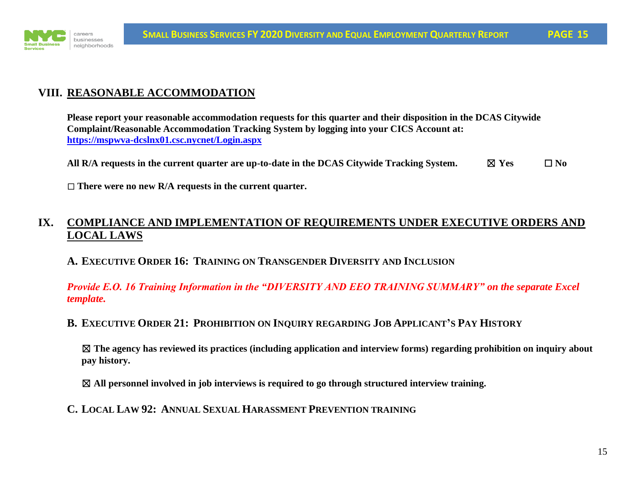

# **VIII. REASONABLE ACCOMMODATION**

**Please report your reasonable accommodation requests for this quarter and their disposition in the DCAS Citywide Complaint/Reasonable Accommodation Tracking System by logging into your CICS Account at: <https://mspwva-dcslnx01.csc.nycnet/Login.aspx>**

**All R**/A requests in the current quarter are up-to-date in the DCAS Citywide Tracking System.  $\boxtimes$  Yes  $\Box$  No

☐ **There were no new R/A requests in the current quarter.**

# **IX. COMPLIANCE AND IMPLEMENTATION OF REQUIREMENTS UNDER EXECUTIVE ORDERS AND LOCAL LAWS**

#### **A. EXECUTIVE ORDER 16: TRAINING ON TRANSGENDER DIVERSITY AND INCLUSION**

*Provide E.O. 16 Training Information in the "DIVERSITY AND EEO TRAINING SUMMARY" on the separate Excel template.*

#### B. EXECUTIVE ORDER 21: PROHIBITION ON INQUIRY REGARDING JOB APPLICANT'S PAY HISTORY

☒ **The agency has reviewed its practices (including application and interview forms) regarding prohibition on inquiry about pay history.** 

☒ **All personnel involved in job interviews is required to go through structured interview training.**

**C. LOCAL LAW 92: ANNUAL SEXUAL HARASSMENT PREVENTION TRAINING**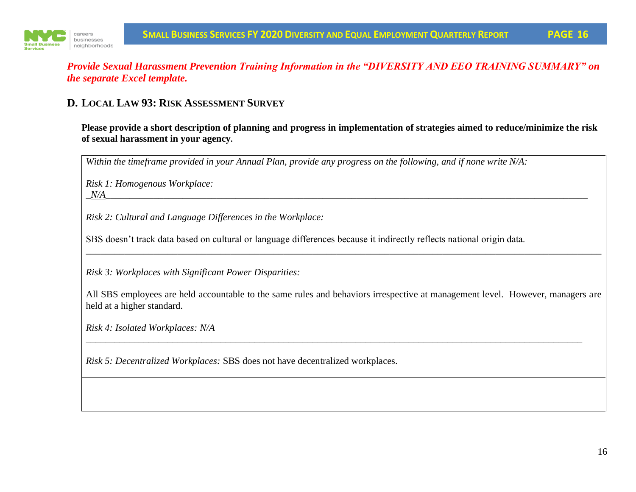



#### *Provide Sexual Harassment Prevention Training Information in the "DIVERSITY AND EEO TRAINING SUMMARY" on the separate Excel template.*

## **D. LOCAL LAW 93: RISK ASSESSMENT SURVEY**

**Please provide a short description of planning and progress in implementation of strategies aimed to reduce/minimize the risk of sexual harassment in your agency.** 

*Within the timeframe provided in your Annual Plan, provide any progress on the following, and if none write N/A:*

*Risk 1: Homogenous Workplace:*

 $\it N\!/\!A$  . The set of the set of the set of the set of the set of the set of the set of the set of the set of the set of the set of the set of the set of the set of the set of the set of the set of the set of the set of

*Risk 2: Cultural and Language Differences in the Workplace:*

SBS doesn't track data based on cultural or language differences because it indirectly reflects national origin data.

*Risk 3: Workplaces with Significant Power Disparities:*

All SBS employees are held accountable to the same rules and behaviors irrespective at management level. However, managers are held at a higher standard.

*\_\_\_\_\_\_\_\_\_\_\_\_\_\_\_\_\_\_\_\_\_\_\_\_\_\_\_\_\_\_\_\_\_\_\_\_\_\_\_\_\_\_\_\_\_\_\_\_\_\_\_\_\_\_\_\_\_\_\_\_\_\_\_\_\_\_\_\_\_\_\_\_\_\_\_\_\_\_\_\_\_\_\_\_\_\_\_\_\_\_\_\_\_\_\_\_\_\_\_\_\_\_\_*

*\_\_\_\_\_\_\_\_\_\_\_\_\_\_\_\_\_\_\_\_\_\_\_\_\_\_\_\_\_\_\_\_\_\_\_\_\_\_\_\_\_\_\_\_\_\_\_\_\_\_\_\_\_\_\_\_\_\_\_\_\_\_\_\_\_\_\_\_\_\_\_\_\_\_\_\_\_\_\_\_\_\_\_\_\_\_\_\_\_\_\_\_\_\_\_\_\_\_\_\_\_\_\_\_\_\_\_*

*Risk 4: Isolated Workplaces: N/A*

*Risk 5: Decentralized Workplaces:* SBS does not have decentralized workplaces.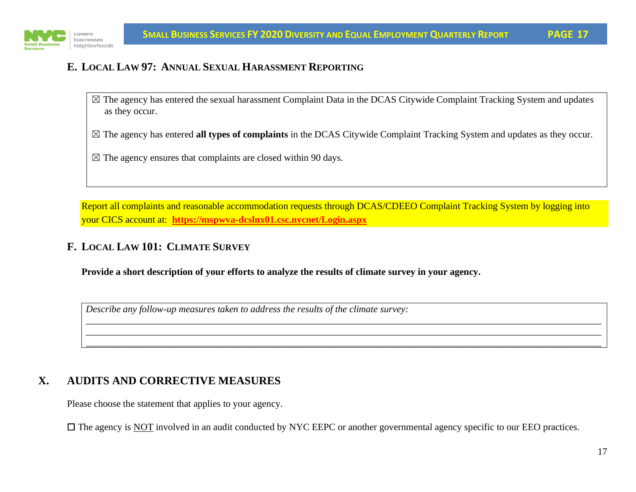

# **E. LOCAL LAW 97: ANNUAL SEXUAL HARASSMENT REPORTING**

- $\boxtimes$  The agency has entered the sexual harassment Complaint Data in the DCAS Citywide Complaint Tracking System and updates as they occur.
- ☒ The agency has entered **all types of complaints** in the DCAS Citywide Complaint Tracking System and updates as they occur.
- $\boxtimes$  The agency ensures that complaints are closed within 90 days.

Report all complaints and reasonable accommodation requests through DCAS/CDEEO Complaint Tracking System by logging into your CICS account at: **<https://mspwva-dcslnx01.csc.nycnet/Login.aspx>**

\_\_\_\_\_\_\_\_\_\_\_\_\_\_\_\_\_\_\_\_\_\_\_\_\_\_\_\_\_\_\_\_\_\_\_\_\_\_\_\_\_\_\_\_\_\_\_\_\_\_\_\_\_\_\_\_\_\_\_\_\_\_\_\_\_\_\_\_\_\_\_\_\_\_\_\_\_\_\_\_\_\_\_\_\_\_\_\_\_\_\_\_\_\_\_\_\_\_\_\_\_\_\_\_\_\_\_ \_\_\_\_\_\_\_\_\_\_\_\_\_\_\_\_\_\_\_\_\_\_\_\_\_\_\_\_\_\_\_\_\_\_\_\_\_\_\_\_\_\_\_\_\_\_\_\_\_\_\_\_\_\_\_\_\_\_\_\_\_\_\_\_\_\_\_\_\_\_\_\_\_\_\_\_\_\_\_\_\_\_\_\_\_\_\_\_\_\_\_\_\_\_\_\_\_\_\_\_\_\_\_\_\_\_\_ \_\_\_\_\_\_\_\_\_\_\_\_\_\_\_\_\_\_\_\_\_\_\_\_\_\_\_\_\_\_\_\_\_\_\_\_\_\_\_\_\_\_\_\_\_\_\_\_\_\_\_\_\_\_\_\_\_\_\_\_\_\_\_\_\_\_\_\_\_\_\_\_\_\_\_\_\_\_\_\_\_\_\_\_\_\_\_\_\_\_\_\_\_\_\_\_\_\_\_\_\_\_\_\_\_\_\_

## **F. LOCAL LAW 101: CLIMATE SURVEY**

**Provide a short description of your efforts to analyze the results of climate survey in your agency.**

*Describe any follow-up measures taken to address the results of the climate survey:*

# **X. AUDITS AND CORRECTIVE MEASURES**

Please choose the statement that applies to your agency.

□ The agency is NOT involved in an audit conducted by NYC EEPC or another governmental agency specific to our EEO practices.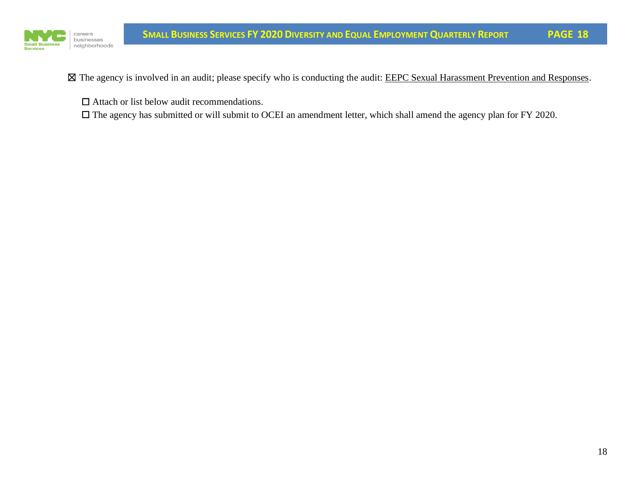

⊠ The agency is involved in an audit; please specify who is conducting the audit: EEPC Sexual Harassment Prevention and Responses.

☐ Attach or list below audit recommendations.

☐ The agency has submitted or will submit to OCEI an amendment letter, which shall amend the agency plan for FY 2020.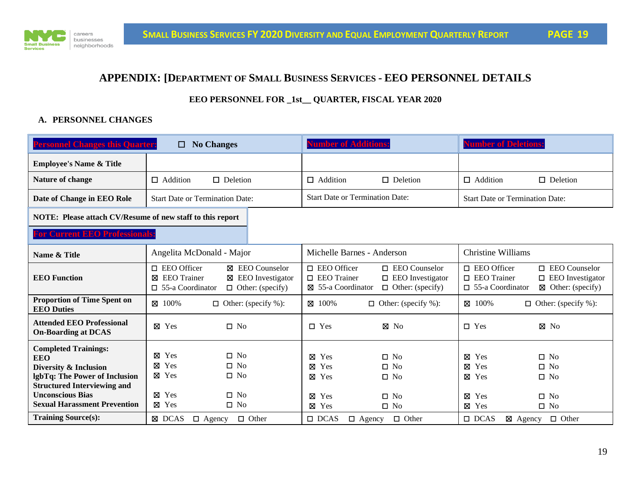

#### **APPENDIX: [DEPARTMENT OF SMALL BUSINESS SERVICES - EEO PERSONNEL DETAILS**

#### **EEO PERSONNEL FOR \_1st\_\_ QUARTER, FISCAL YEAR 2020**

#### **A. PERSONNEL CHANGES**

| <b>Personnel Changes this Quarter:</b>                                                               | <b>No Changes</b><br>□                                                                                               |                                                                              | umber of Additions                                             |                                                                            | <b>Number of Deletions:</b>                                            |                                                                                 |
|------------------------------------------------------------------------------------------------------|----------------------------------------------------------------------------------------------------------------------|------------------------------------------------------------------------------|----------------------------------------------------------------|----------------------------------------------------------------------------|------------------------------------------------------------------------|---------------------------------------------------------------------------------|
| <b>Employee's Name &amp; Title</b>                                                                   |                                                                                                                      |                                                                              |                                                                |                                                                            |                                                                        |                                                                                 |
| Nature of change                                                                                     | $\Box$ Addition<br>$\Box$ Deletion                                                                                   |                                                                              | $\Box$ Addition                                                | $\Box$ Deletion                                                            | $\Box$ Addition                                                        | $\Box$ Deletion                                                                 |
| Date of Change in EEO Role                                                                           | <b>Start Date or Termination Date:</b>                                                                               |                                                                              | <b>Start Date or Termination Date:</b>                         |                                                                            | <b>Start Date or Termination Date:</b>                                 |                                                                                 |
| NOTE: Please attach CV/Resume of new staff to this report                                            |                                                                                                                      |                                                                              |                                                                |                                                                            |                                                                        |                                                                                 |
| <b>For Current EEO Professionals</b>                                                                 |                                                                                                                      |                                                                              |                                                                |                                                                            |                                                                        |                                                                                 |
| Name & Title                                                                                         | Angelita McDonald - Major                                                                                            |                                                                              | Michelle Barnes - Anderson                                     |                                                                            | <b>Christine Williams</b>                                              |                                                                                 |
| <b>EEO</b> Function                                                                                  | $\Box$ EEO Officer<br><b>EEO</b> Trainer<br>⊠<br>⊠<br>$\Box$ 55-a Coordinator                                        | <b>X</b> EEO Counselor<br><b>EEO</b> Investigator<br>$\Box$ Other: (specify) | $\Box$ EEO Officer<br>$\Box$ EEO Trainer<br>⊠ 55-a Coordinator | $\Box$ EEO Counselor<br>$\Box$ EEO Investigator<br>$\Box$ Other: (specify) | $\Box$ EEO Officer<br>$\square$ EEO Trainer<br>$\Box$ 55-a Coordinator | $\Box$ EEO Counselor<br>$\Box$ EEO Investigator<br>$\boxtimes$ Other: (specify) |
| <b>Proportion of Time Spent on</b><br><b>EEO</b> Duties                                              | $\boxtimes$ 100%<br>$\Box$ Other: (specify %):                                                                       |                                                                              | ⊠ 100%                                                         | $\Box$ Other: (specify %):                                                 | ⊠ 100%                                                                 | $\Box$ Other: (specify %):                                                      |
| <b>Attended EEO Professional</b><br><b>On-Boarding at DCAS</b>                                       | Yes<br>$\square$ No<br>⊠                                                                                             |                                                                              | $\Box$ Yes                                                     | $\boxtimes$ No                                                             | $\Box$ Yes                                                             | $\boxtimes$ No                                                                  |
| <b>Completed Trainings:</b><br><b>EEO</b><br>Diversity & Inclusion<br>lgbTq: The Power of Inclusion  | Yes<br>N <sub>o</sub><br>$\Box$<br>⊠<br>Yes<br>⊠<br>N <sub>0</sub><br>$\Box$<br>Yes<br>N <sub>0</sub><br>⊠<br>$\Box$ |                                                                              | ⊠<br>Yes<br>⊠<br>Yes<br>⊠<br>Yes                               | $\square$ No<br>$\square$ No<br>$\square$ No                               | $\boxtimes$ Yes<br>$\boxtimes$ Yes<br>⊠ Yes                            | $\square$ No<br>$\square$ No<br>$\square$ No                                    |
| <b>Structured Interviewing and</b><br><b>Unconscious Bias</b><br><b>Sexual Harassment Prevention</b> | Yes<br>$\square$ No<br>⊠<br>⊠ Yes<br>$\square$ No                                                                    |                                                                              | ⊠<br>Yes<br>⊠ Yes                                              | $\square$ No<br>$\square$ No                                               | $\boxtimes$ Yes<br>⊠ Yes                                               | $\square$ No<br>$\square$ No                                                    |
| <b>Training Source(s):</b>                                                                           | $\Box$ Other<br>⊠ DCAS<br>$\Box$ Agency                                                                              |                                                                              | $\Box$ DCAS<br>$\Box$ Agency                                   | $\Box$ Other                                                               | $\Box$ DCAS<br>$\boxtimes$ Agency                                      | $\Box$ Other                                                                    |